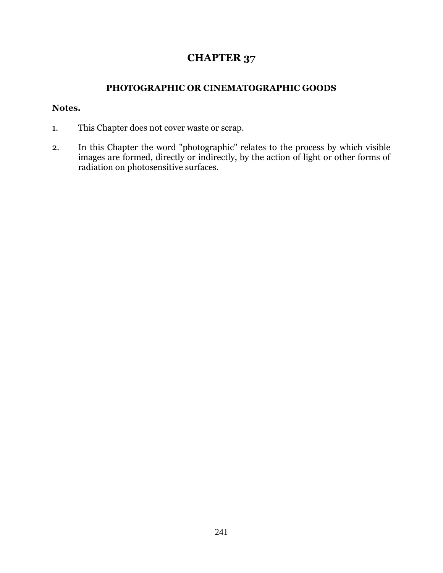## **CHAPTER 37**

## **PHOTOGRAPHIC OR CINEMATOGRAPHIC GOODS**

## **Notes.**

- 1. This Chapter does not cover waste or scrap.
- 2. In this Chapter the word "photographic" relates to the process by which visible images are formed, directly or indirectly, by the action of light or other forms of radiation on photosensitive surfaces.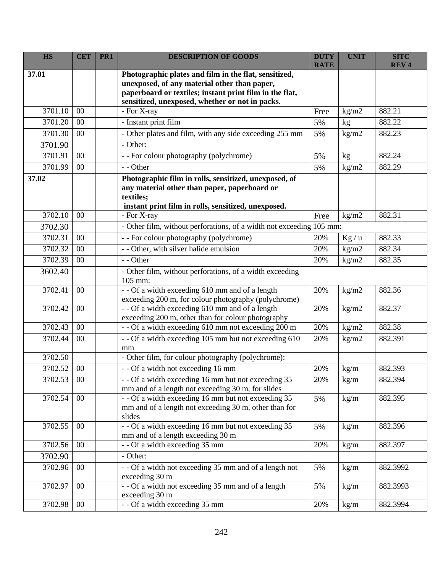| <b>HS</b> | <b>CET</b> | PR <sub>1</sub> | <b>DESCRIPTION OF GOODS</b>                                                                                                                                                                                         | <b>DUTY</b><br><b>RATE</b> | <b>UNIT</b> | <b>SITC</b><br><b>REV4</b> |
|-----------|------------|-----------------|---------------------------------------------------------------------------------------------------------------------------------------------------------------------------------------------------------------------|----------------------------|-------------|----------------------------|
| 37.01     |            |                 | Photographic plates and film in the flat, sensitized,<br>unexposed, of any material other than paper,<br>paperboard or textiles; instant print film in the flat,<br>sensitized, unexposed, whether or not in packs. |                            |             |                            |
| 3701.10   | 00         |                 | - For X-ray                                                                                                                                                                                                         | Free                       | kg/m2       | 882.21                     |
| 3701.20   | $00\,$     |                 | - Instant print film                                                                                                                                                                                                | 5%                         | kg          | 882.22                     |
| 3701.30   | 00         |                 | - Other plates and film, with any side exceeding 255 mm                                                                                                                                                             | 5%                         | kg/m2       | 882.23                     |
| 3701.90   |            |                 | - Other:                                                                                                                                                                                                            |                            |             |                            |
| 3701.91   | 00         |                 | - - For colour photography (polychrome)                                                                                                                                                                             | 5%                         | kg          | 882.24                     |
| 3701.99   | 00         |                 | - - Other                                                                                                                                                                                                           | 5%                         | kg/m2       | 882.29                     |
| 37.02     |            |                 | Photographic film in rolls, sensitized, unexposed, of<br>any material other than paper, paperboard or<br>textiles;<br>instant print film in rolls, sensitized, unexposed.                                           |                            |             |                            |
| 3702.10   | 00         |                 | - For X-ray                                                                                                                                                                                                         | Free                       | kg/m2       | 882.31                     |
| 3702.30   |            |                 | - Other film, without perforations, of a width not exceeding 105 mm:                                                                                                                                                |                            |             |                            |
| 3702.31   | 00         |                 | - - For colour photography (polychrome)                                                                                                                                                                             | 20%                        | Kg/u        | 882.33                     |
| 3702.32   | 00         |                 | - - Other, with silver halide emulsion                                                                                                                                                                              | 20%                        | kg/m2       | 882.34                     |
| 3702.39   | 00         |                 | - - Other                                                                                                                                                                                                           | 20%                        | kg/m2       | 882.35                     |
| 3602.40   |            |                 | - Other film, without perforations, of a width exceeding<br>105 mm:                                                                                                                                                 |                            |             |                            |
| 3702.41   | 00         |                 | - - Of a width exceeding 610 mm and of a length<br>exceeding 200 m, for colour photography (polychrome)                                                                                                             | 20%                        | kg/m2       | 882.36                     |
| 3702.42   | 00         |                 | - - Of a width exceeding 610 mm and of a length<br>exceeding 200 m, other than for colour photography                                                                                                               | 20%                        | kg/m2       | 882.37                     |
| 3702.43   | 00         |                 | - - Of a width exceeding 610 mm not exceeding 200 m                                                                                                                                                                 | 20%                        | kg/m2       | 882.38                     |
| 3702.44   | 00         |                 | -- Of a width exceeding 105 mm but not exceeding 610<br>mm                                                                                                                                                          | 20%                        | kg/m2       | 882.391                    |
| 3702.50   |            |                 | - Other film, for colour photography (polychrome):                                                                                                                                                                  |                            |             |                            |
| 3702.52   | 00         |                 | - - Of a width not exceeding 16 mm                                                                                                                                                                                  | 20%                        | kg/m        | 882.393                    |
| 3702.53   | $00\,$     |                 | - - Of a width exceeding 16 mm but not exceeding 35<br>mm and of a length not exceeding 30 m, for slides                                                                                                            | 20%                        | kg/m        | 882.394                    |
| 3702.54   | 00         |                 | - - Of a width exceeding 16 mm but not exceeding 35<br>mm and of a length not exceeding 30 m, other than for<br>slides                                                                                              | 5%                         | kg/m        | 882.395                    |
| 3702.55   | $00\,$     |                 | - - Of a width exceeding 16 mm but not exceeding 35<br>mm and of a length exceeding 30 m                                                                                                                            | 5%                         | kg/m        | 882.396                    |
| 3702.56   | 00         |                 | - - Of a width exceeding 35 mm                                                                                                                                                                                      | 20%                        | kg/m        | 882.397                    |
| 3702.90   |            |                 | - Other:                                                                                                                                                                                                            |                            |             |                            |
| 3702.96   | $00\,$     |                 | - - Of a width not exceeding 35 mm and of a length not<br>exceeding 30 m                                                                                                                                            | 5%                         | kg/m        | 882.3992                   |
| 3702.97   | $00\,$     |                 | - - Of a width not exceeding 35 mm and of a length<br>exceeding 30 m                                                                                                                                                | 5%                         | kg/m        | 882.3993                   |
| 3702.98   | $00\,$     |                 | - - Of a width exceeding 35 mm                                                                                                                                                                                      | 20%                        | kg/m        | 882.3994                   |